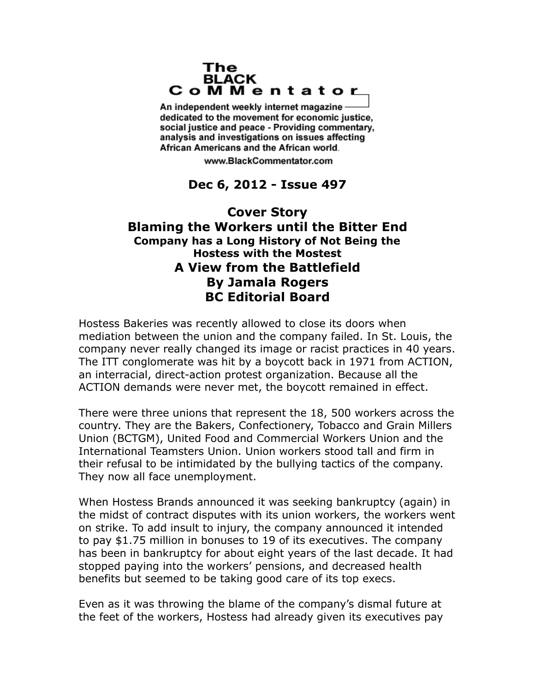## The **BLACK** CoMMentator

An independent weekly internet magazine dedicated to the movement for economic justice. social justice and peace - Providing commentary, analysis and investigations on issues affecting African Americans and the African world.

www.BlackCommentator.com

## **Dec 6, 2012 - Issue 497**

## **Cover Story Blaming the Workers until the Bitter End Company has a Long History of Not Being the Hostess with the Mostest A View from the Battlefield By Jamala Rogers BC Editorial Board**

Hostess Bakeries was recently allowed to close its doors when mediation between the union and the company failed. In St. Louis, the company never really changed its image or racist practices in 40 years. The ITT conglomerate was hit by a boycott back in 1971 from ACTION, an interracial, direct-action protest organization. Because all the ACTION demands were never met, the boycott remained in effect.

There were three unions that represent the 18, 500 workers across the country. They are the Bakers, Confectionery, Tobacco and Grain Millers Union (BCTGM), United Food and Commercial Workers Union and the International Teamsters Union. Union workers stood tall and firm in their refusal to be intimidated by the bullying tactics of the company. They now all face unemployment.

When Hostess Brands announced it was seeking bankruptcy (again) in the midst of contract disputes with its union workers, the workers went on strike. To add insult to injury, the company announced it intended to pay \$1.75 million in bonuses to 19 of its executives. The company has been in bankruptcy for about eight years of the last decade. It had stopped paying into the workers' pensions, and decreased health benefits but seemed to be taking good care of its top execs.

Even as it was throwing the blame of the company's dismal future at the feet of the workers, Hostess had already given its executives pay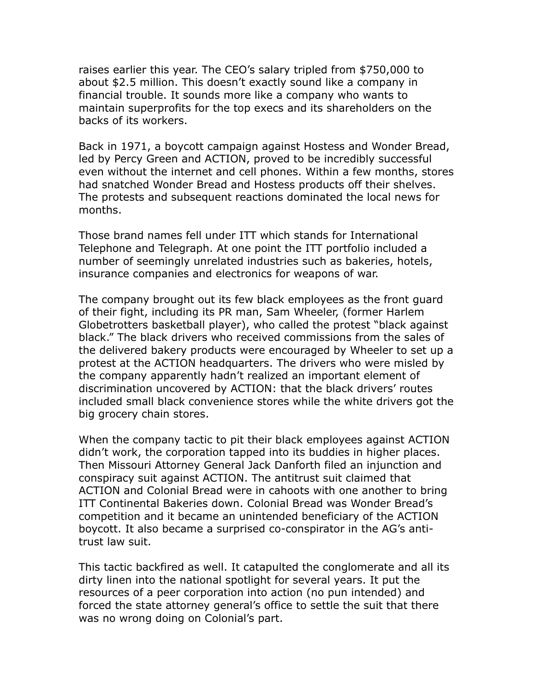raises earlier this year. The CEO's salary tripled from \$750,000 to about \$2.5 million. This doesn't exactly sound like a company in financial trouble. It sounds more like a company who wants to maintain superprofits for the top execs and its shareholders on the backs of its workers.

Back in 1971, a boycott campaign against Hostess and Wonder Bread, led by Percy Green and ACTION, proved to be incredibly successful even without the internet and cell phones. Within a few months, stores had snatched Wonder Bread and Hostess products off their shelves. The protests and subsequent reactions dominated the local news for months.

Those brand names fell under ITT which stands for International Telephone and Telegraph. At one point the ITT portfolio included a number of seemingly unrelated industries such as bakeries, hotels, insurance companies and electronics for weapons of war.

The company brought out its few black employees as the front guard of their fight, including its PR man, Sam Wheeler, (former Harlem Globetrotters basketball player), who called the protest "black against black." The black drivers who received commissions from the sales of the delivered bakery products were encouraged by Wheeler to set up a protest at the ACTION headquarters. The drivers who were misled by the company apparently hadn't realized an important element of discrimination uncovered by ACTION: that the black drivers' routes included small black convenience stores while the white drivers got the big grocery chain stores.

When the company tactic to pit their black employees against ACTION didn't work, the corporation tapped into its buddies in higher places. Then Missouri Attorney General Jack Danforth filed an injunction and conspiracy suit against ACTION. The antitrust suit claimed that ACTION and Colonial Bread were in cahoots with one another to bring ITT Continental Bakeries down. Colonial Bread was Wonder Bread's competition and it became an unintended beneficiary of the ACTION boycott. It also became a surprised co-conspirator in the AG's antitrust law suit.

This tactic backfired as well. It catapulted the conglomerate and all its dirty linen into the national spotlight for several years. It put the resources of a peer corporation into action (no pun intended) and forced the state attorney general's office to settle the suit that there was no wrong doing on Colonial's part.